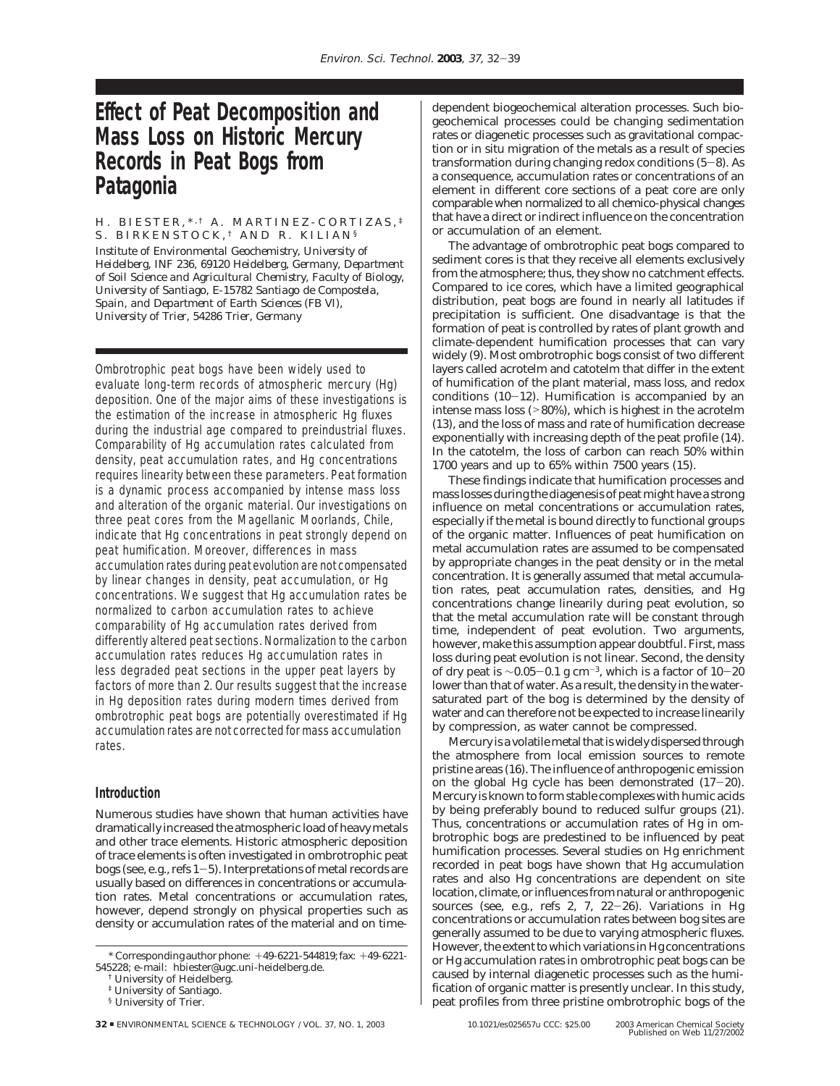# **Effect of Peat Decomposition and Mass Loss on Historic Mercury Records in Peat Bogs from Patagonia**

#### H. BIESTER, \*, † A. MARTINEZ-CORTIZAS, ‡ S. BIRKENSTOCK,<sup>†</sup> AND R. KILIAN<sup>§</sup>

*Institute of Environmental Geochemistry, University of Heidelberg, INF 236, 69120 Heidelberg, Germany, Department of Soil Science and Agricultural Chemistry, Faculty of Biology, University of Santiago, E-15782 Santiago de Compostela, Spain, and Department of Earth Sciences (FB VI), University of Trier, 54286 Trier, Germany*

Ombrotrophic peat bogs have been widely used to evaluate long-term records of atmospheric mercury (Hg) deposition. One of the major aims of these investigations is the estimation of the increase in atmospheric Hg fluxes during the industrial age compared to preindustrial fluxes. Comparability of Hg accumulation rates calculated from density, peat accumulation rates, and Hg concentrations requires linearity between these parameters. Peat formation is a dynamic process accompanied by intense mass loss and alteration of the organic material. Our investigations on three peat cores from the Magellanic Moorlands, Chile, indicate that Hg concentrations in peat strongly depend on peat humification. Moreover, differences in mass accumulation rates during peat evolution are not compensated by linear changes in density, peat accumulation, or Hg concentrations. We suggest that Hg accumulation rates be normalized to carbon accumulation rates to achieve comparability of Hg accumulation rates derived from differently altered peat sections. Normalization to the carbon accumulation rates reduces Hg accumulation rates in less degraded peat sections in the upper peat layers by factors of more than 2. Our results suggest that the increase in Hg deposition rates during modern times derived from ombrotrophic peat bogs are potentially overestimated if Hg accumulation rates are not corrected for mass accumulation rates.

## **Introduction**

Numerous studies have shown that human activities have dramatically increased the atmospheric load of heavy metals and other trace elements. Historic atmospheric deposition of trace elements is often investigated in ombrotrophic peat bogs (see, e.g., refs *<sup>1</sup>*-*5*). Interpretations of metal records are usually based on differences in concentrations or accumulation rates. Metal concentrations or accumulation rates, however, depend strongly on physical properties such as density or accumulation rates of the material and on timedependent biogeochemical alteration processes. Such biogeochemical processes could be changing sedimentation rates or diagenetic processes such as gravitational compaction or in situ migration of the metals as a result of species transformation during changing redox conditions (*5*-*8*). As a consequence, accumulation rates or concentrations of an element in different core sections of a peat core are only comparable when normalized to all chemico-physical changes that have a direct or indirect influence on the concentration or accumulation of an element.

The advantage of ombrotrophic peat bogs compared to sediment cores is that they receive all elements exclusively from the atmosphere; thus, they show no catchment effects. Compared to ice cores, which have a limited geographical distribution, peat bogs are found in nearly all latitudes if precipitation is sufficient. One disadvantage is that the formation of peat is controlled by rates of plant growth and climate-dependent humification processes that can vary widely (*9*). Most ombrotrophic bogs consist of two different layers called acrotelm and catotelm that differ in the extent of humification of the plant material, mass loss, and redox conditions (*10*-*12*). Humification is accompanied by an intense mass loss (>80%), which is highest in the acrotelm (*13*), and the loss of mass and rate of humification decrease exponentially with increasing depth of the peat profile (*14*). In the catotelm, the loss of carbon can reach 50% within 1700 years and up to 65% within 7500 years (*15*).

These findings indicate that humification processes and mass losses during the diagenesis of peat might have a strong influence on metal concentrations or accumulation rates, especially if the metal is bound directly to functional groups of the organic matter. Influences of peat humification on metal accumulation rates are assumed to be compensated by appropriate changes in the peat density or in the metal concentration. It is generally assumed that metal accumulation rates, peat accumulation rates, densities, and Hg concentrations change linearily during peat evolution, so that the metal accumulation rate will be constant through time, independent of peat evolution. Two arguments, however, make this assumption appear doubtful. First, mass loss during peat evolution is not linear. Second, the density of dry peat is <sup>∼</sup>0.05-0.1 g cm-3, which is a factor of 10-<sup>20</sup> lower than that of water. As a result, the density in the watersaturated part of the bog is determined by the density of water and can therefore not be expected to increase linearily by compression, as water cannot be compressed.

Mercury is a volatile metal that is widely dispersed through the atmosphere from local emission sources to remote pristine areas (*16*). The influence of anthropogenic emission on the global Hg cycle has been demonstrated (*17*-*20*). Mercury is known to form stable complexes with humic acids by being preferably bound to reduced sulfur groups (*21*). Thus, concentrations or accumulation rates of Hg in ombrotrophic bogs are predestined to be influenced by peat humification processes. Several studies on Hg enrichment recorded in peat bogs have shown that Hg accumulation rates and also Hg concentrations are dependent on site location, climate, or influences from natural or anthropogenic sources (see, e.g., refs *<sup>2</sup>*, *<sup>7</sup>*, *<sup>22</sup>*-*26*). Variations in Hg concentrations or accumulation rates between bog sites are generally assumed to be due to varying atmospheric fluxes. However, the extent to which variations in Hg concentrations or Hg accumulation rates in ombrotrophic peat bogs can be caused by internal diagenetic processes such as the humification of organic matter is presently unclear. In this study, peat profiles from three pristine ombrotrophic bogs of the

<sup>\*</sup> Corresponding author phone: +49-6221-544819; fax: +49-6221- 545228; e-mail: hbiester@ugc.uni-heidelberg.de.

<sup>†</sup> University of Heidelberg.

<sup>‡</sup> University of Santiago.

<sup>§</sup> University of Trier.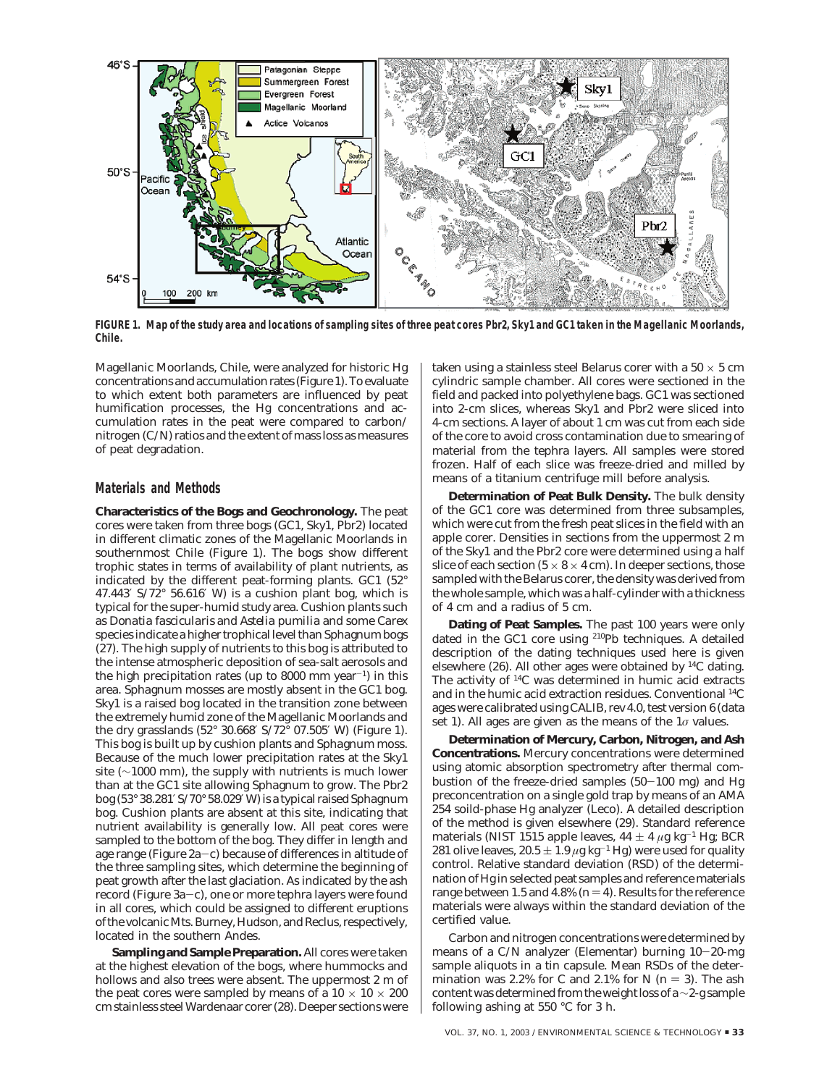

**FIGURE 1. Map of the study area and locations of sampling sites of three peat cores Pbr2, Sky1 and GC1 taken in the Magellanic Moorlands, Chile.**

Magellanic Moorlands, Chile, were analyzed for historic Hg concentrations and accumulation rates (Figure 1). To evaluate to which extent both parameters are influenced by peat humification processes, the Hg concentrations and accumulation rates in the peat were compared to carbon/ nitrogen (C/N) ratios and the extent of mass loss as measures of peat degradation.

## **Materials and Methods**

**Characteristics of the Bogs and Geochronology.** The peat cores were taken from three bogs (GC1, Sky1, Pbr2) located in different climatic zones of the Magellanic Moorlands in southernmost Chile (Figure 1). The bogs show different trophic states in terms of availability of plant nutrients, as indicated by the different peat-forming plants. GC1 (52° 47.443′ S/72° 56.616′ W) is a cushion plant bog, which is typical for the super-humid study area. Cushion plants such as *Donatia fascicularis* and *Astelia pumilia* and some *Carex* species indicate a higher trophical level than *Sphagnum* bogs (*27*). The high supply of nutrients to this bog is attributed to the intense atmospheric deposition of sea-salt aerosols and the high precipitation rates (up to  $8000$  mm year<sup>-1</sup>) in this area. *Sphagnum* mosses are mostly absent in the GC1 bog. Sky1 is a raised bog located in the transition zone between the extremely humid zone of the Magellanic Moorlands and the dry grasslands (52° 30.668′ S/72° 07.505′ W) (Figure 1). This bog is built up by cushion plants and *Sphagnum* moss. Because of the much lower precipitation rates at the Sky1 site (∼1000 mm), the supply with nutrients is much lower than at the GC1 site allowing *Sphagnum* to grow. The Pbr2 bog (53° 38.281′ S/70° 58.029′W) is a typical raised*Sphagnum* bog. Cushion plants are absent at this site, indicating that nutrient availability is generally low. All peat cores were sampled to the bottom of the bog. They differ in length and age range (Figure 2a-c) because of differences in altitude of the three sampling sites, which determine the beginning of peat growth after the last glaciation. As indicated by the ash record (Figure 3a-c), one or more tephra layers were found in all cores, which could be assigned to different eruptions of the volcanic Mts. Burney, Hudson, and Reclus, respectively, located in the southern Andes.

**Sampling and Sample Preparation.** All cores were taken at the highest elevation of the bogs, where hummocks and hollows and also trees were absent. The uppermost 2 m of the peat cores were sampled by means of a  $10 \times 10 \times 200$ cm stainless steel Wardenaar corer (*28*). Deeper sections were

taken using a stainless steel Belarus corer with a 50  $\times$  5 cm cylindric sample chamber. All cores were sectioned in the field and packed into polyethylene bags. GC1 was sectioned into 2-cm slices, whereas Sky1 and Pbr2 were sliced into 4-cm sections. A layer of about 1 cm was cut from each side of the core to avoid cross contamination due to smearing of material from the tephra layers. All samples were stored frozen. Half of each slice was freeze-dried and milled by means of a titanium centrifuge mill before analysis.

**Determination of Peat Bulk Density.** The bulk density of the GC1 core was determined from three subsamples, which were cut from the fresh peat slices in the field with an apple corer. Densities in sections from the uppermost 2 m of the Sky1 and the Pbr2 core were determined using a half slice of each section ( $5 \times 8 \times 4$  cm). In deeper sections, those sampled with the Belarus corer, the density was derived from the whole sample, which was a half-cylinder with a thickness of 4 cm and a radius of 5 cm.

**Dating of Peat Samples.** The past 100 years were only dated in the GC1 core using 210Pb techniques. A detailed description of the dating techniques used here is given elsewhere (*26*). All other ages were obtained by 14C dating. The activity of 14C was determined in humic acid extracts and in the humic acid extraction residues. Conventional 14C ages were calibrated using CALIB, rev 4.0, test version 6 (data set 1). All ages are given as the means of the 1*σ* values.

**Determination of Mercury, Carbon, Nitrogen, and Ash Concentrations.** Mercury concentrations were determined using atomic absorption spectrometry after thermal combustion of the freeze-dried samples  $(50-100 \text{ mg})$  and Hg preconcentration on a single gold trap by means of an AMA 254 soild-phase Hg analyzer (Leco). A detailed description of the method is given elsewhere (*29*). Standard reference materials (NIST 1515 apple leaves,  $44 \pm 4 \ \mu$ g kg<sup>-1</sup> Hg; BCR 281 olive leaves,  $20.5 \pm 1.9 \,\mu g$  kg<sup>-1</sup> Hg) were used for quality control. Relative standard deviation (RSD) of the determination of Hg in selected peat samples and reference materials range between 1.5 and 4.8% ( $n = 4$ ). Results for the reference materials were always within the standard deviation of the certified value.

Carbon and nitrogen concentrations were determined by means of a C/N analyzer (Elementar) burning 10-20-mg sample aliquots in a tin capsule. Mean RSDs of the determination was 2.2% for C and 2.1% for N  $(n = 3)$ . The ash content was determined from the weight loss of a∼2-g sample following ashing at 550 °C for 3 h.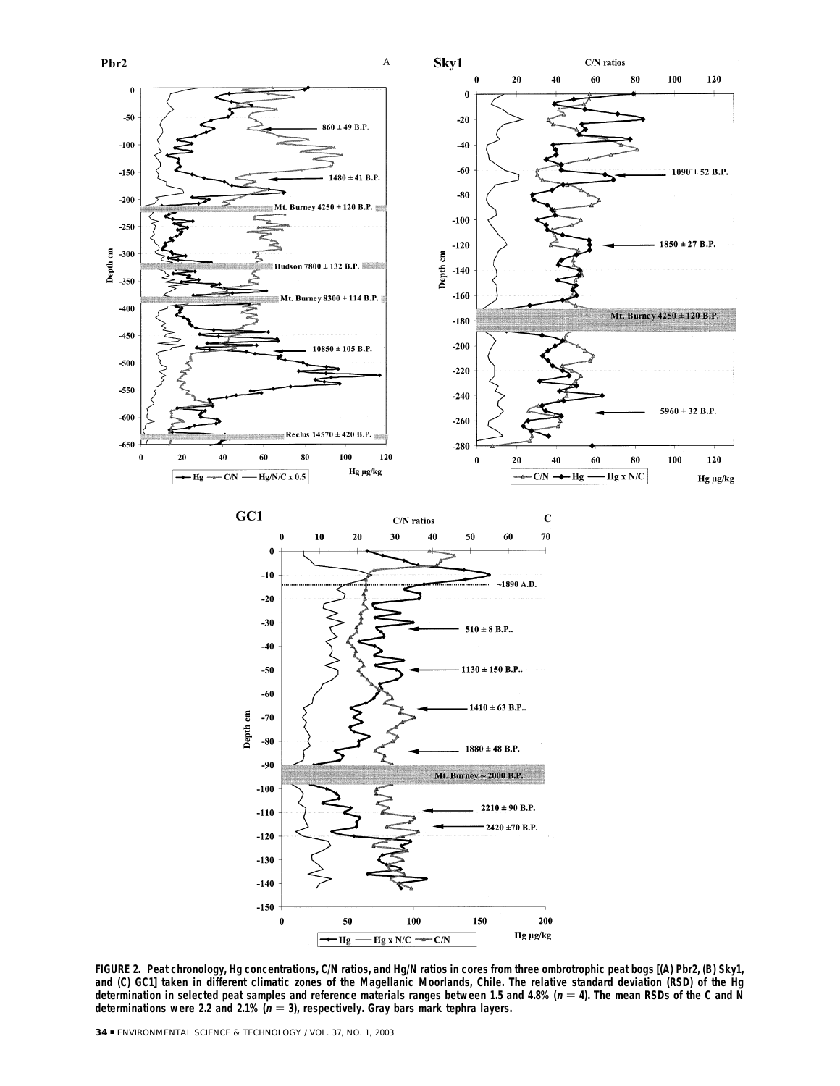

**FIGURE 2. Peat chronology, Hg concentrations, C/N ratios, and Hg/N ratios in cores from three ombrotrophic peat bogs [(A) Pbr2, (B) Sky1, and (C) GC1] taken in different climatic zones of the Magellanic Moorlands, Chile. The relative standard deviation (RSD) of the Hg** determination in selected peat samples and reference materials ranges between 1.5 and 4.8% ( $n = 4$ ). The mean RSDs of the C and  $\bar{N}$ determinations were 2.2 and 2.1%  $(n = 3)$ , respectively. Gray bars mark tephra layers.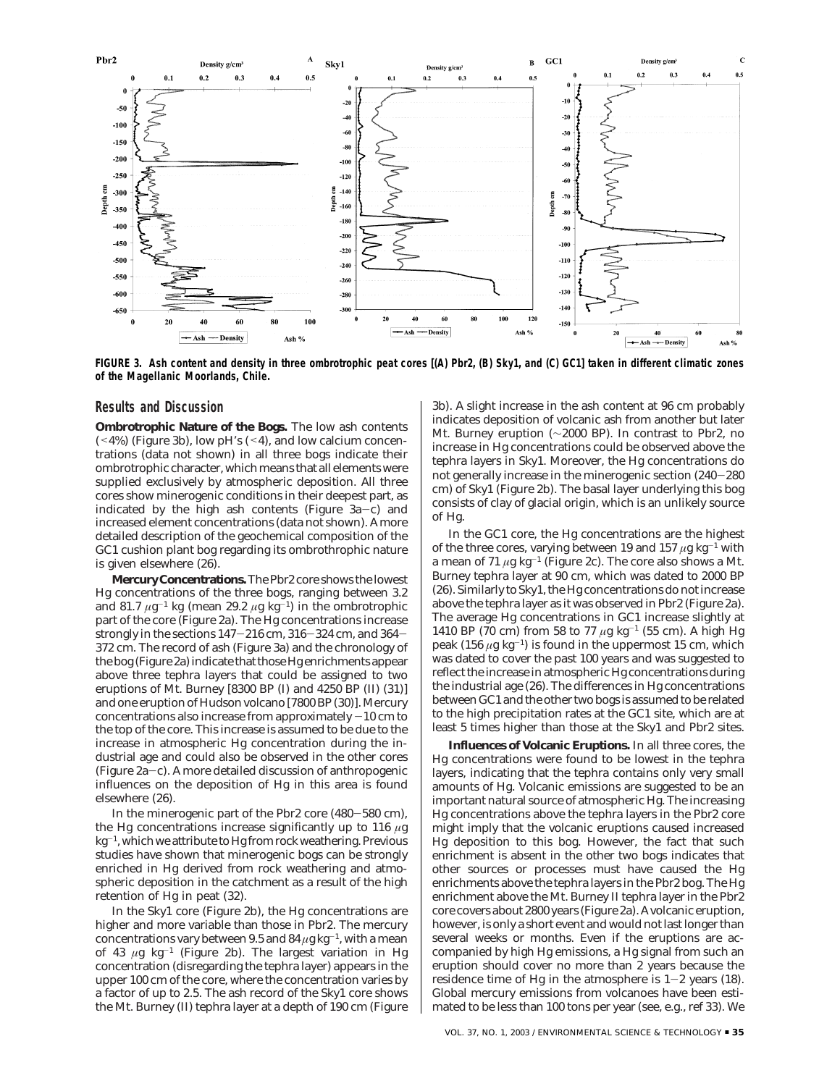

**FIGURE 3. Ash content and density in three ombrotrophic peat cores [(A) Pbr2, (B) Sky1, and (C) GC1] taken in different climatic zones of the Magellanic Moorlands, Chile.**

### **Results and Discussion**

**Ombrotrophic Nature of the Bogs.** The low ash contents  $(\leq 4\%)$  (Figure 3b), low pH's  $(\leq 4)$ , and low calcium concentrations (data not shown) in all three bogs indicate their ombrotrophic character, which means that all elements were supplied exclusively by atmospheric deposition. All three cores show minerogenic conditions in their deepest part, as indicated by the high ash contents (Figure  $3a-c$ ) and increased element concentrations (data not shown). A more detailed description of the geochemical composition of the GC1 cushion plant bog regarding its ombrothrophic nature is given elsewhere (*26*).

**Mercury Concentrations.** The Pbr2 core shows the lowest Hg concentrations of the three bogs, ranging between 3.2 and 81.7  $\mu$ g<sup>-1</sup> kg (mean 29.2  $\mu$ g kg<sup>-1</sup>) in the ombrotrophic part of the core (Figure 2a). The Hg concentrations increase strongly in the sections 147-216 cm, 316-324 cm, and 364- 372 cm. The record of ash (Figure 3a) and the chronology of the bog (Figure 2a) indicate that those Hg enrichments appear above three tephra layers that could be assigned to two eruptions of Mt. Burney [8300 BP (I) and 4250 BP (II) (*31*)] and one eruption of Hudson volcano [7800 BP (*30*)]. Mercury concentrations also increase from approximately  $-10$  cm to the top of the core. This increase is assumed to be due to the increase in atmospheric Hg concentration during the industrial age and could also be observed in the other cores (Figure 2a-c). A more detailed discussion of anthropogenic influences on the deposition of Hg in this area is found elsewhere (*26*).

In the minerogenic part of the Pbr2 core (480-580 cm), the Hg concentrations increase significantly up to 116 *µ*g  $kg<sup>-1</sup>$ , which we attribute to Hg from rock weathering. Previous studies have shown that minerogenic bogs can be strongly enriched in Hg derived from rock weathering and atmospheric deposition in the catchment as a result of the high retention of Hg in peat (*32*).

In the Sky1 core (Figure 2b), the Hg concentrations are higher and more variable than those in Pbr2. The mercury concentrations vary between 9.5 and 84  $\mu$ g kg<sup>-1</sup>, with a mean of 43 *µ*g kg-<sup>1</sup> (Figure 2b). The largest variation in Hg concentration (disregarding the tephra layer) appears in the upper 100 cm of the core, where the concentration varies by a factor of up to 2.5. The ash record of the Sky1 core shows the Mt. Burney (II) tephra layer at a depth of 190 cm (Figure 3b). A slight increase in the ash content at 96 cm probably indicates deposition of volcanic ash from another but later Mt. Burney eruption (∼2000 BP). In contrast to Pbr2, no increase in Hg concentrations could be observed above the tephra layers in Sky1. Moreover, the Hg concentrations do not generally increase in the minerogenic section (240-<sup>280</sup> cm) of Sky1 (Figure 2b). The basal layer underlying this bog consists of clay of glacial origin, which is an unlikely source of Hg.

In the GC1 core, the Hg concentrations are the highest of the three cores, varying between 19 and 157 *µ*g kg-<sup>1</sup> with a mean of 71  $\mu$ g kg<sup>-1</sup> (Figure 2c). The core also shows a Mt. Burney tephra layer at 90 cm, which was dated to 2000 BP (*26*). Similarly to Sky1, the Hg concentrations do not increase above the tephra layer as it was observed in Pbr2 (Figure 2a). The average Hg concentrations in GC1 increase slightly at 1410 BP (70 cm) from 58 to 77 *µ*g kg-<sup>1</sup> (55 cm). A high Hg peak  $(156 \ \mu g \ kg^{-1})$  is found in the uppermost 15 cm, which was dated to cover the past 100 years and was suggested to reflect the increase in atmospheric Hg concentrations during the industrial age (*26*). The differences in Hg concentrations between GC1 and the other two bogs is assumed to be related to the high precipitation rates at the GC1 site, which are at least 5 times higher than those at the Sky1 and Pbr2 sites.

**Influences of Volcanic Eruptions.** In all three cores, the Hg concentrations were found to be lowest in the tephra layers, indicating that the tephra contains only very small amounts of Hg. Volcanic emissions are suggested to be an important natural source of atmospheric Hg. The increasing Hg concentrations above the tephra layers in the Pbr2 core might imply that the volcanic eruptions caused increased Hg deposition to this bog. However, the fact that such enrichment is absent in the other two bogs indicates that other sources or processes must have caused the Hg enrichments above the tephra layers in the Pbr2 bog. The Hg enrichment above the Mt. Burney II tephra layer in the Pbr2 core covers about 2800 years (Figure 2a). A volcanic eruption, however, is only a short event and would not last longer than several weeks or months. Even if the eruptions are accompanied by high Hg emissions, a Hg signal from such an eruption should cover no more than 2 years because the residence time of Hg in the atmosphere is 1-2 years (*18*). Global mercury emissions from volcanoes have been estimated to be less than 100 tons per year (see, e.g., ref *33*). We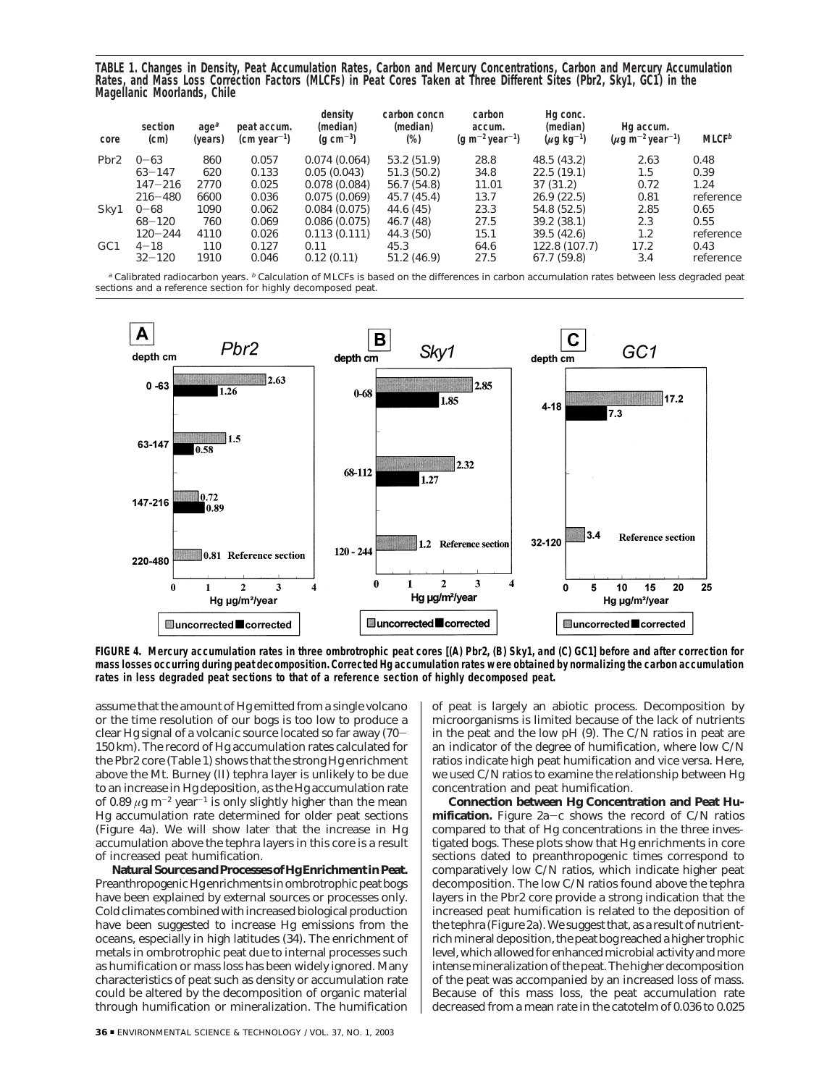**TABLE 1. Changes in Density, Peat Accumulation Rates, Carbon and Mercury Concentrations, Carbon and Mercury Accumulation Rates, and Mass Loss Correction Factors (MLCFs) in Peat Cores Taken at Three Different Sites (Pbr2, Sky1, GC1) in the Magellanic Moorlands, Chile**

| core             | section<br>(cm) | age $\sigma$<br>(years) | peat accum.<br>$/cm$ year <sup>-1</sup> ) | density<br>(median)<br>(q cm <sup>-3</sup> ) | carbon concn<br>(median)<br>$(\%)$ | carbon<br>accum.<br>$(g m^{-2} year^{-1})$ | Hg conc.<br>(median)<br>$(\mu g \; \text{kg}^{-1})$ | Hq accum.<br>$(\mu q \text{ m}^{-2} \text{ year}^{-1})$ | MLCF <sup>b</sup> |
|------------------|-----------------|-------------------------|-------------------------------------------|----------------------------------------------|------------------------------------|--------------------------------------------|-----------------------------------------------------|---------------------------------------------------------|-------------------|
| Pbr <sub>2</sub> | $0 - 63$        | 860                     | 0.057                                     | 0.074(0.064)                                 | 53.2 (51.9)                        | 28.8                                       | 48.5 (43.2)                                         | 2.63                                                    | 0.48              |
|                  | $63 - 147$      | 620                     | 0.133                                     | 0.05(0.043)                                  | 51.3(50.2)                         | 34.8                                       | 22.5(19.1)                                          | 1.5                                                     | 0.39              |
|                  | $147 - 216$     | 2770                    | 0.025                                     | 0.078(0.084)                                 | 56.7 (54.8)                        | 11.01                                      | 37(31.2)                                            | 0.72                                                    | 1.24              |
|                  | $216 - 480$     | 6600                    | 0.036                                     | 0.075(0.069)                                 | 45.7 (45.4)                        | 13.7                                       | 26.9(22.5)                                          | 0.81                                                    | reference         |
| Sky1             | $0 - 68$        | 1090                    | 0.062                                     | 0.084(0.075)                                 | 44.6 (45)                          | 23.3                                       | 54.8 (52.5)                                         | 2.85                                                    | 0.65              |
|                  | $68 - 120$      | 760                     | 0.069                                     | 0.086(0.075)                                 | 46.7(48)                           | 27.5                                       | 39.2(38.1)                                          | 2.3                                                     | 0.55              |
|                  | $120 - 244$     | 4110                    | 0.026                                     | 0.113(0.111)                                 | 44.3 (50)                          | 15.1                                       | 39.5 (42.6)                                         | 1.2                                                     | reference         |
| GC <sub>1</sub>  | $4 - 18$        | 110                     | 0.127                                     | 0.11                                         | 45.3                               | 64.6                                       | 122.8 (107.7)                                       | 17.2                                                    | 0.43              |
|                  | $32 - 120$      | 1910                    | 0.046                                     | 0.12(0.11)                                   | 51.2(46.9)                         | 27.5                                       | 67.7(59.8)                                          | 3.4                                                     | reference         |

a Calibrated radiocarbon years. b Calculation of MLCFs is based on the differences in carbon accumulation rates between less degraded peat sections and a reference section for highly decomposed peat.



**FIGURE 4. Mercury accumulation rates in three ombrotrophic peat cores [(A) Pbr2, (B) Sky1, and (C) GC1] before and after correction for mass losses occurring during peat decomposition. Corrected Hg accumulation rates were obtained by normalizing the carbon accumulation rates in less degraded peat sections to that of a reference section of highly decomposed peat.**

assume that the amount of Hg emitted from a single volcano or the time resolution of our bogs is too low to produce a clear Hg signal of a volcanic source located so far away (70- 150 km). The record of Hg accumulation rates calculated for the Pbr2 core (Table 1) shows that the strong Hg enrichment above the Mt. Burney (II) tephra layer is unlikely to be due to an increase in Hg deposition, as the Hg accumulation rate of 0.89  $\mu$ g m<sup>-2</sup> year<sup>-1</sup> is only slightly higher than the mean Hg accumulation rate determined for older peat sections (Figure 4a). We will show later that the increase in Hg accumulation above the tephra layers in this core is a result of increased peat humification.

**Natural Sources and Processes of Hg Enrichment in Peat.** Preanthropogenic Hg enrichments in ombrotrophic peat bogs have been explained by external sources or processes only. Cold climates combined with increased biological production have been suggested to increase Hg emissions from the oceans, especially in high latitudes (*34*). The enrichment of metals in ombrotrophic peat due to internal processes such as humification or mass loss has been widely ignored. Many characteristics of peat such as density or accumulation rate could be altered by the decomposition of organic material through humification or mineralization. The humification

**36** ■ ENVIRONMENTAL SCIENCE & TECHNOLOGY / VOL. 37, NO. 1, 2003

of peat is largely an abiotic process. Decomposition by microorganisms is limited because of the lack of nutrients in the peat and the low pH (*9*). The C/N ratios in peat are an indicator of the degree of humification, where low C/N ratios indicate high peat humification and vice versa. Here, we used C/N ratios to examine the relationship between Hg concentration and peat humification.

**Connection between Hg Concentration and Peat Humification.** Figure  $2a-c$  shows the record of  $C/N$  ratios compared to that of Hg concentrations in the three investigated bogs. These plots show that Hg enrichments in core sections dated to preanthropogenic times correspond to comparatively low C/N ratios, which indicate higher peat decomposition. The low C/N ratios found above the tephra layers in the Pbr2 core provide a strong indication that the increased peat humification is related to the deposition of the tephra (Figure 2a). We suggest that, as a result of nutrientrich mineral deposition, the peat bog reached a higher trophic level, which allowed for enhanced microbial activity and more intense mineralization of the peat. The higher decomposition of the peat was accompanied by an increased loss of mass. Because of this mass loss, the peat accumulation rate decreased from a mean rate in the catotelm of 0.036 to 0.025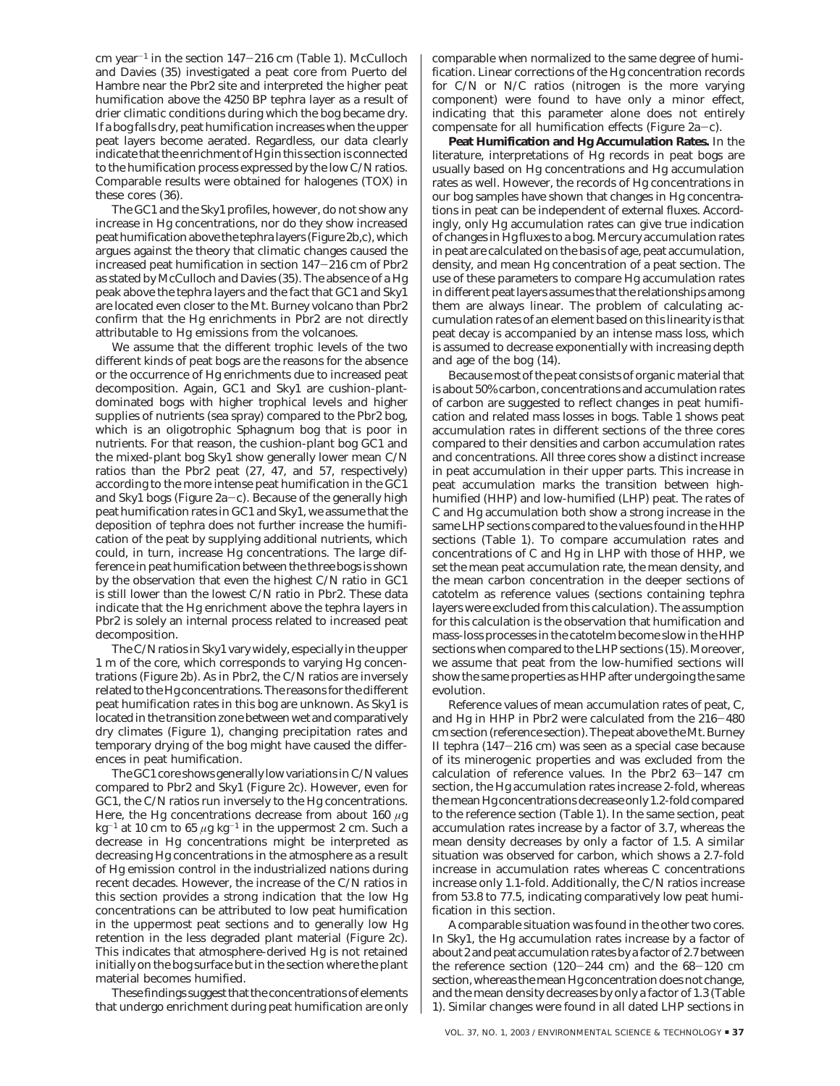cm year-<sup>1</sup> in the section 147-216 cm (Table 1). McCulloch and Davies (*35*) investigated a peat core from Puerto del Hambre near the Pbr2 site and interpreted the higher peat humification above the 4250 BP tephra layer as a result of drier climatic conditions during which the bog became dry. If a bog falls dry, peat humification increases when the upper peat layers become aerated. Regardless, our data clearly indicate that the enrichment of Hg in this section is connected to the humification process expressed by the low C/N ratios. Comparable results were obtained for halogenes (TOX) in these cores (*36*).

The GC1 and the Sky1 profiles, however, do not show any increase in Hg concentrations, nor do they show increased peat humification above the tephra layers (Figure 2b,c), which argues against the theory that climatic changes caused the increased peat humification in section 147-216 cm of Pbr2 as stated by McCulloch and Davies (*35*). The absence of a Hg peak above the tephra layers and the fact that GC1 and Sky1 are located even closer to the Mt. Burney volcano than Pbr2 confirm that the Hg enrichments in Pbr2 are not directly attributable to Hg emissions from the volcanoes.

We assume that the different trophic levels of the two different kinds of peat bogs are the reasons for the absence or the occurrence of Hg enrichments due to increased peat decomposition. Again, GC1 and Sky1 are cushion-plantdominated bogs with higher trophical levels and higher supplies of nutrients (sea spray) compared to the Pbr2 bog, which is an oligotrophic *Sphagnum* bog that is poor in nutrients. For that reason, the cushion-plant bog GC1 and the mixed-plant bog Sky1 show generally lower mean C/N ratios than the Pbr2 peat (27, 47, and 57, respectively) according to the more intense peat humification in the GC1 and Sky1 bogs (Figure  $2a-c$ ). Because of the generally high peat humification rates in GC1 and Sky1, we assume that the deposition of tephra does not further increase the humification of the peat by supplying additional nutrients, which could, in turn, increase Hg concentrations. The large difference in peat humification between the three bogs is shown by the observation that even the highest C/N ratio in GC1 is still lower than the lowest C/N ratio in Pbr2. These data indicate that the Hg enrichment above the tephra layers in Pbr2 is solely an internal process related to increased peat decomposition.

The C/N ratios in Sky1 vary widely, especially in the upper 1 m of the core, which corresponds to varying Hg concentrations (Figure 2b). As in Pbr2, the C/N ratios are inversely related to the Hg concentrations. The reasons for the different peat humification rates in this bog are unknown. As Sky1 is located in the transition zone between wet and comparatively dry climates (Figure 1), changing precipitation rates and temporary drying of the bog might have caused the differences in peat humification.

The GC1 core shows generally low variations in C/N values compared to Pbr2 and Sky1 (Figure 2c). However, even for GC1, the C/N ratios run inversely to the Hg concentrations. Here, the Hg concentrations decrease from about 160 *µ*g kg<sup>-1</sup> at 10 cm to 65  $\mu$ g kg<sup>-1</sup> in the uppermost 2 cm. Such a decrease in Hg concentrations might be interpreted as decreasing Hg concentrations in the atmosphere as a result of Hg emission control in the industrialized nations during recent decades. However, the increase of the C/N ratios in this section provides a strong indication that the low Hg concentrations can be attributed to low peat humification in the uppermost peat sections and to generally low Hg retention in the less degraded plant material (Figure 2c). This indicates that atmosphere-derived Hg is not retained initially on the bog surface but in the section where the plant material becomes humified.

These findings suggest that the concentrations of elements that undergo enrichment during peat humification are only

comparable when normalized to the same degree of humification. Linear corrections of the Hg concentration records for C/N or N/C ratios (nitrogen is the more varying component) were found to have only a minor effect, indicating that this parameter alone does not entirely compensate for all humification effects (Figure 2a-c).

**Peat Humification and Hg Accumulation Rates.** In the literature, interpretations of Hg records in peat bogs are usually based on Hg concentrations and Hg accumulation rates as well. However, the records of Hg concentrations in our bog samples have shown that changes in Hg concentrations in peat can be independent of external fluxes. Accordingly, only Hg accumulation rates can give true indication of changes in Hg fluxes to a bog. Mercury accumulation rates in peat are calculated on the basis of age, peat accumulation, density, and mean Hg concentration of a peat section. The use of these parameters to compare Hg accumulation rates in different peat layers assumes that the relationships among them are always linear. The problem of calculating accumulation rates of an element based on this linearity is that peat decay is accompanied by an intense mass loss, which is assumed to decrease exponentially with increasing depth and age of the bog (*14*).

Because most of the peat consists of organic material that is about 50% carbon, concentrations and accumulation rates of carbon are suggested to reflect changes in peat humification and related mass losses in bogs. Table 1 shows peat accumulation rates in different sections of the three cores compared to their densities and carbon accumulation rates and concentrations. All three cores show a distinct increase in peat accumulation in their upper parts. This increase in peat accumulation marks the transition between highhumified (HHP) and low-humified (LHP) peat. The rates of C and Hg accumulation both show a strong increase in the same LHP sections compared to the values found in the HHP sections (Table 1). To compare accumulation rates and concentrations of C and Hg in LHP with those of HHP, we set the mean peat accumulation rate, the mean density, and the mean carbon concentration in the deeper sections of catotelm as reference values (sections containing tephra layers were excluded from this calculation). The assumption for this calculation is the observation that humification and mass-loss processes in the catotelm become slow in the HHP sections when compared to the LHP sections (*15*). Moreover, we assume that peat from the low-humified sections will show the same properties as HHP after undergoing the same evolution.

Reference values of mean accumulation rates of peat, C, and Hg in HHP in Pbr2 were calculated from the 216-<sup>480</sup> cm section (reference section). The peat above the Mt. Burney II tephra (147-216 cm) was seen as a special case because of its minerogenic properties and was excluded from the calculation of reference values. In the Pbr2 63-147 cm section, the Hg accumulation rates increase 2-fold, whereas the mean Hg concentrations decrease only 1.2-fold compared to the reference section (Table 1). In the same section, peat accumulation rates increase by a factor of 3.7, whereas the mean density decreases by only a factor of 1.5. A similar situation was observed for carbon, which shows a 2.7-fold increase in accumulation rates whereas C concentrations increase only 1.1-fold. Additionally, the C/N ratios increase from 53.8 to 77.5, indicating comparatively low peat humification in this section.

A comparable situation was found in the other two cores. In Sky1, the Hg accumulation rates increase by a factor of about 2 and peat accumulation rates by a factor of 2.7 between the reference section (120-244 cm) and the 68-120 cm section, whereas the mean Hg concentration does not change, and the mean density decreases by only a factor of 1.3 (Table 1). Similar changes were found in all dated LHP sections in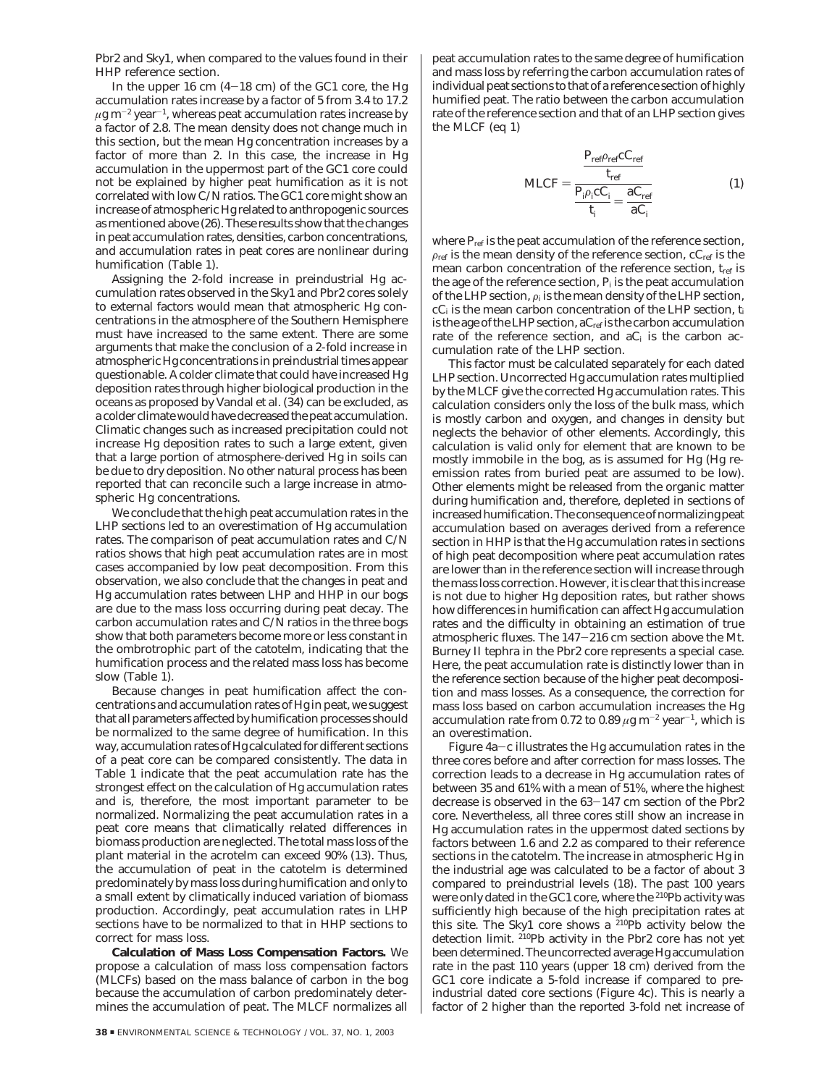Pbr2 and Sky1, when compared to the values found in their HHP reference section.

In the upper  $16 \text{ cm } (4-18 \text{ cm})$  of the GC1 core, the Hg accumulation rates increase by a factor of 5 from 3.4 to 17.2  $\mu$ g m<sup>-2</sup> year<sup>-1</sup>, whereas peat accumulation rates increase by a factor of 2.8. The mean density does not change much in this section, but the mean Hg concentration increases by a factor of more than 2. In this case, the increase in Hg accumulation in the uppermost part of the GC1 core could not be explained by higher peat humification as it is not correlated with low C/N ratios. The GC1 core might show an increase of atmospheric Hg related to anthropogenic sources as mentioned above (*26*). These results show that the changes in peat accumulation rates, densities, carbon concentrations, and accumulation rates in peat cores are nonlinear during humification (Table 1).

Assigning the 2-fold increase in preindustrial Hg accumulation rates observed in the Sky1 and Pbr2 cores solely to external factors would mean that atmospheric Hg concentrations in the atmosphere of the Southern Hemisphere must have increased to the same extent. There are some arguments that make the conclusion of a 2-fold increase in atmospheric Hg concentrations in preindustrial times appear questionable. A colder climate that could have increased Hg deposition rates through higher biological production in the oceans as proposed by Vandal et al. (*34*) can be excluded, as a colder climate would have decreased the peat accumulation. Climatic changes such as increased precipitation could not increase Hg deposition rates to such a large extent, given that a large portion of atmosphere-derived Hg in soils can be due to dry deposition. No other natural process has been reported that can reconcile such a large increase in atmospheric Hg concentrations.

We conclude that the high peat accumulation rates in the LHP sections led to an overestimation of Hg accumulation rates. The comparison of peat accumulation rates and C/N ratios shows that high peat accumulation rates are in most cases accompanied by low peat decomposition. From this observation, we also conclude that the changes in peat and Hg accumulation rates between LHP and HHP in our bogs are due to the mass loss occurring during peat decay. The carbon accumulation rates and C/N ratios in the three bogs show that both parameters become more or less constant in the ombrotrophic part of the catotelm, indicating that the humification process and the related mass loss has become slow (Table 1).

Because changes in peat humification affect the concentrations and accumulation rates of Hg in peat, we suggest that all parameters affected by humification processes should be normalized to the same degree of humification. In this way, accumulation rates of Hg calculated for different sections of a peat core can be compared consistently. The data in Table 1 indicate that the peat accumulation rate has the strongest effect on the calculation of Hg accumulation rates and is, therefore, the most important parameter to be normalized. Normalizing the peat accumulation rates in a peat core means that climatically related differences in biomass production are neglected. The total mass loss of the plant material in the acrotelm can exceed 90% (*13*). Thus, the accumulation of peat in the catotelm is determined predominately by mass loss during humification and only to a small extent by climatically induced variation of biomass production. Accordingly, peat accumulation rates in LHP sections have to be normalized to that in HHP sections to correct for mass loss.

**Calculation of Mass Loss Compensation Factors.** We propose a calculation of mass loss compensation factors (MLCFs) based on the mass balance of carbon in the bog because the accumulation of carbon predominately determines the accumulation of peat. The MLCF normalizes all peat accumulation rates to the same degree of humification and mass loss by referring the carbon accumulation rates of individual peat sections to that of a reference section of highly humified peat. The ratio between the carbon accumulation rate of the reference section and that of an LHP section gives the MLCF (eq 1)

$$
MLCF = \frac{\frac{P_{\text{ref}} \rho_{\text{ref}} CC_{\text{ref}}}{t_{\text{ref}}}}{\frac{P_{\text{if}} \rho_{\text{if}} CC_{\text{if}}}{t_{\text{if}}} = \frac{aC_{\text{ref}}}{aC_{\text{if}}}}
$$
(1)

where  $P_{\text{ref}}$  is the peat accumulation of the reference section,  $\rho_{ref}$  is the mean density of the reference section,  $cC_{ref}$  is the mean carbon concentration of the reference section, *t*ref is the age of the reference section, *P*<sup>i</sup> is the peat accumulation of the LHP section,  $\rho_i$  is the mean density of the LHP section, cCi is the mean carbon concentration of the LHP section, *t*<sup>i</sup> is the age of the LHP section,  $aC_{ref}$  is the carbon accumulation rate of the reference section, and  $aC_i$  is the carbon accumulation rate of the LHP section.

This factor must be calculated separately for each dated LHP section. Uncorrected Hg accumulation rates multiplied by the MLCF give the corrected Hg accumulation rates. This calculation considers only the loss of the bulk mass, which is mostly carbon and oxygen, and changes in density but neglects the behavior of other elements. Accordingly, this calculation is valid only for element that are known to be mostly immobile in the bog, as is assumed for Hg (Hg reemission rates from buried peat are assumed to be low). Other elements might be released from the organic matter during humification and, therefore, depleted in sections of increased humification. The consequence of normalizing peat accumulation based on averages derived from a reference section in HHP is that the Hg accumulation rates in sections of high peat decomposition where peat accumulation rates are lower than in the reference section will increase through the mass loss correction. However, it is clear that this increase is not due to higher Hg deposition rates, but rather shows how differences in humification can affect Hg accumulation rates and the difficulty in obtaining an estimation of true atmospheric fluxes. The 147-216 cm section above the Mt. Burney II tephra in the Pbr2 core represents a special case. Here, the peat accumulation rate is distinctly lower than in the reference section because of the higher peat decomposition and mass losses. As a consequence, the correction for mass loss based on carbon accumulation increases the Hg accumulation rate from 0.72 to 0.89  $\mu$ g m<sup>-2</sup> year<sup>-1</sup>, which is an overestimation.

Figure 4a-c illustrates the Hg accumulation rates in the three cores before and after correction for mass losses. The correction leads to a decrease in Hg accumulation rates of between 35 and 61% with a mean of 51%, where the highest decrease is observed in the 63-147 cm section of the Pbr2 core. Nevertheless, all three cores still show an increase in Hg accumulation rates in the uppermost dated sections by factors between 1.6 and 2.2 as compared to their reference sections in the catotelm. The increase in atmospheric Hg in the industrial age was calculated to be a factor of about 3 compared to preindustrial levels (*18*). The past 100 years were only dated in the GC1 core, where the 210Pb activity was sufficiently high because of the high precipitation rates at this site. The Sky1 core shows a  $210Pb$  activity below the detection limit. <sup>210</sup>Pb activity in the Pbr2 core has not yet been determined. The uncorrected average Hg accumulation rate in the past 110 years (upper 18 cm) derived from the GC1 core indicate a 5-fold increase if compared to preindustrial dated core sections (Figure 4c). This is nearly a factor of 2 higher than the reported 3-fold net increase of